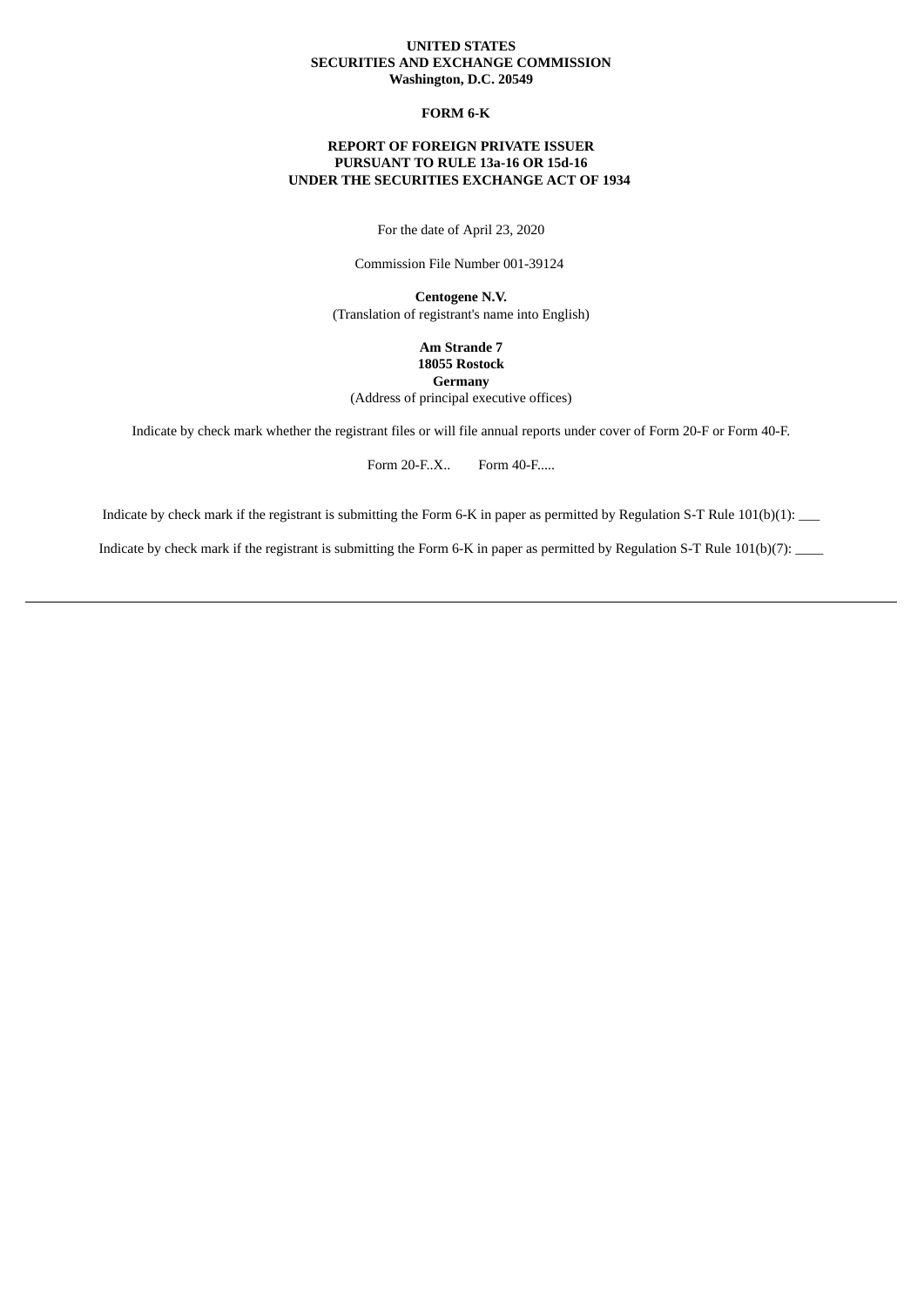## **UNITED STATES SECURITIES AND EXCHANGE COMMISSION Washington, D.C. 20549**

## **FORM 6-K**

## **REPORT OF FOREIGN PRIVATE ISSUER PURSUANT TO RULE 13a-16 OR 15d-16 UNDER THE SECURITIES EXCHANGE ACT OF 1934**

For the date of April 23, 2020

Commission File Number 001-39124

**Centogene N.V.** (Translation of registrant's name into English)

> **Am Strande 7 18055 Rostock Germany**

(Address of principal executive offices)

Indicate by check mark whether the registrant files or will file annual reports under cover of Form 20-F or Form 40-F.

Form 20-F..X.. Form 40-F.....

Indicate by check mark if the registrant is submitting the Form 6-K in paper as permitted by Regulation S-T Rule 101(b)(1): \_\_\_

Indicate by check mark if the registrant is submitting the Form 6-K in paper as permitted by Regulation S-T Rule 101(b)(7): \_\_\_\_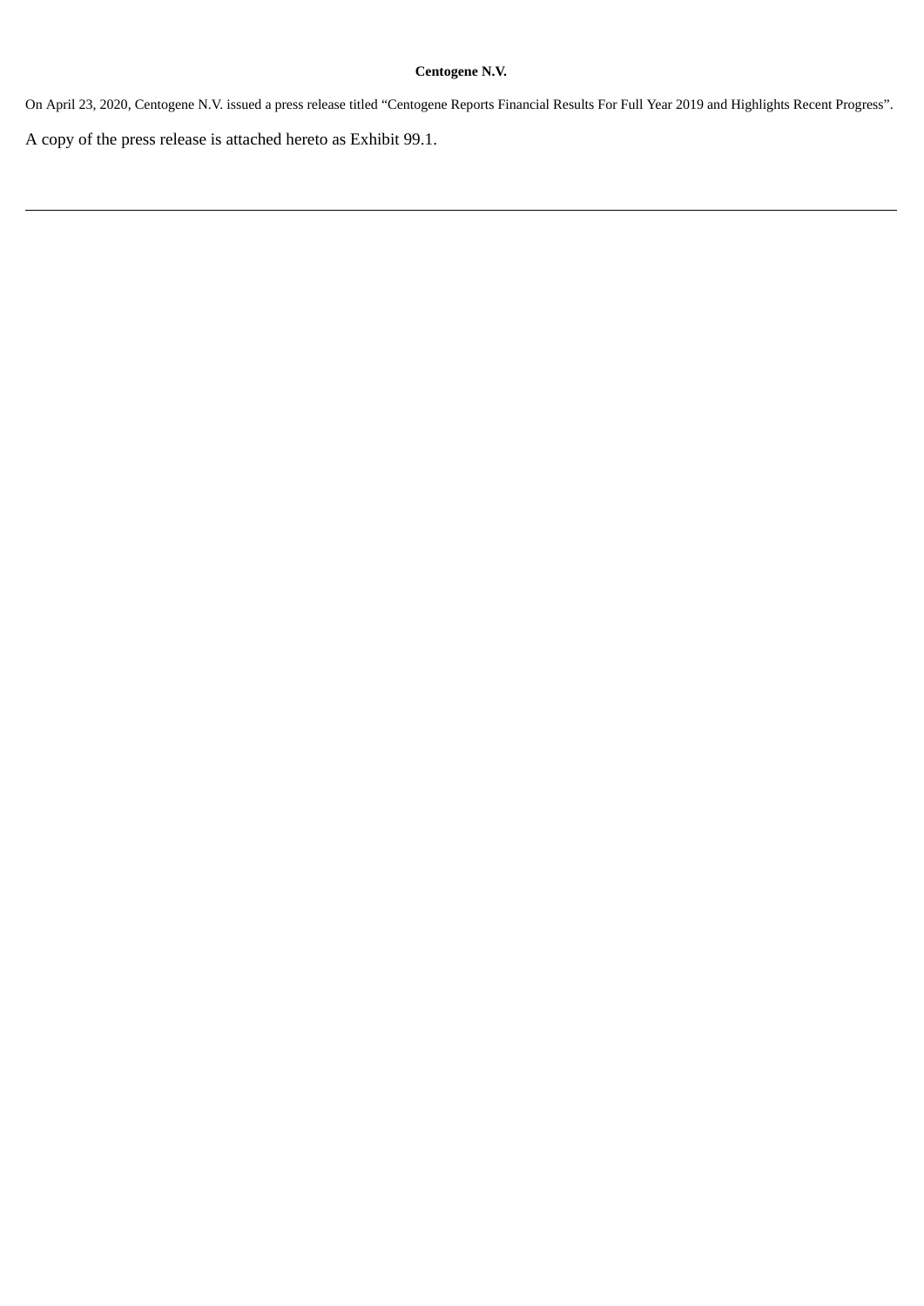# **Centogene N.V.**

On April 23, 2020, Centogene N.V. issued a press release titled "Centogene Reports Financial Results For Full Year 2019 and Highlights Recent Progress".

A copy of the press release is attached hereto as Exhibit 99.1.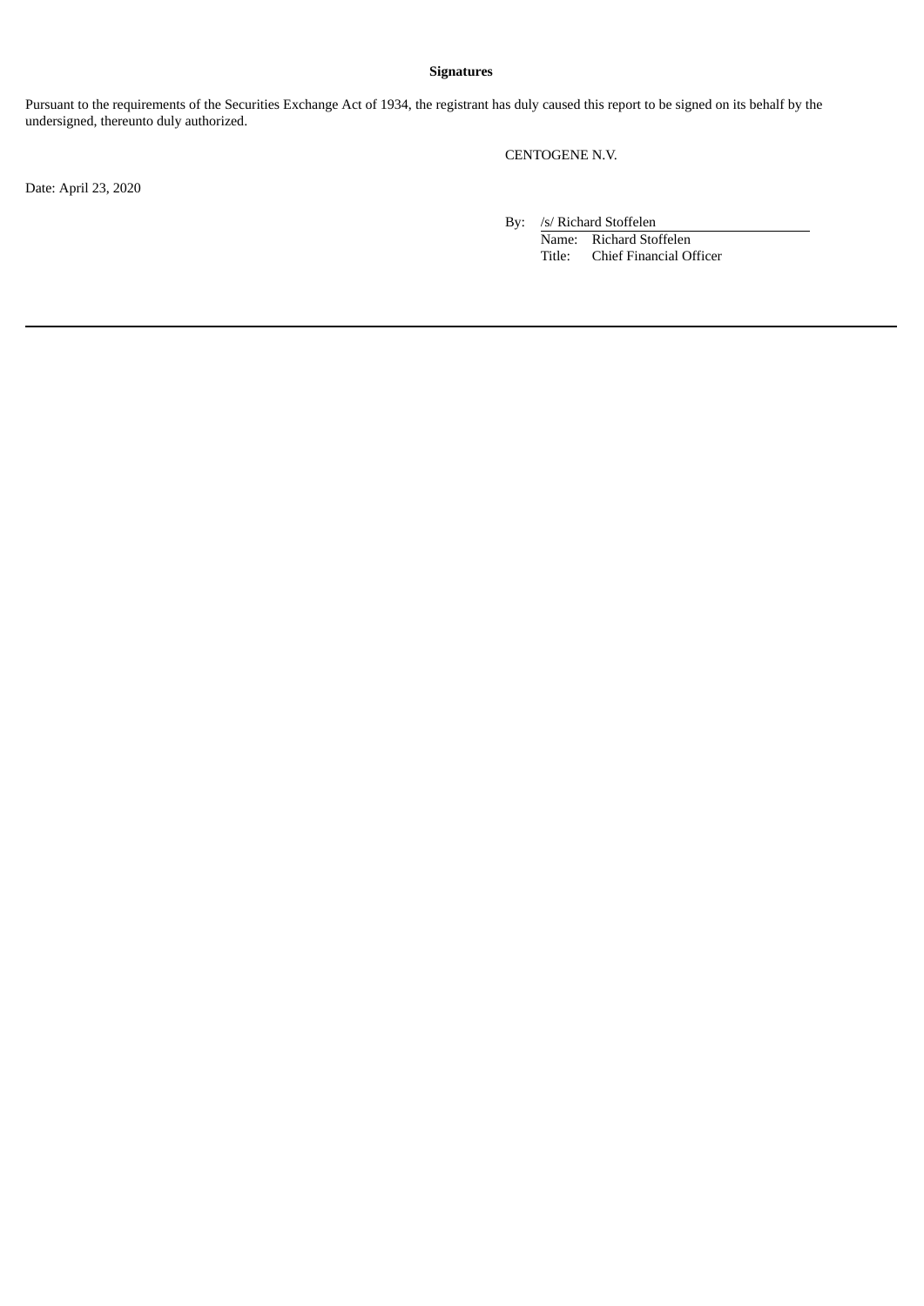# **Signatures**

Pursuant to the requirements of the Securities Exchange Act of 1934, the registrant has duly caused this report to be signed on its behalf by the undersigned, thereunto duly authorized.

CENTOGENE N.V.

Date: April 23, 2020

By: /s/ Richard Stoffelen

Name: Richard Stoffelen Title: Chief Financial Officer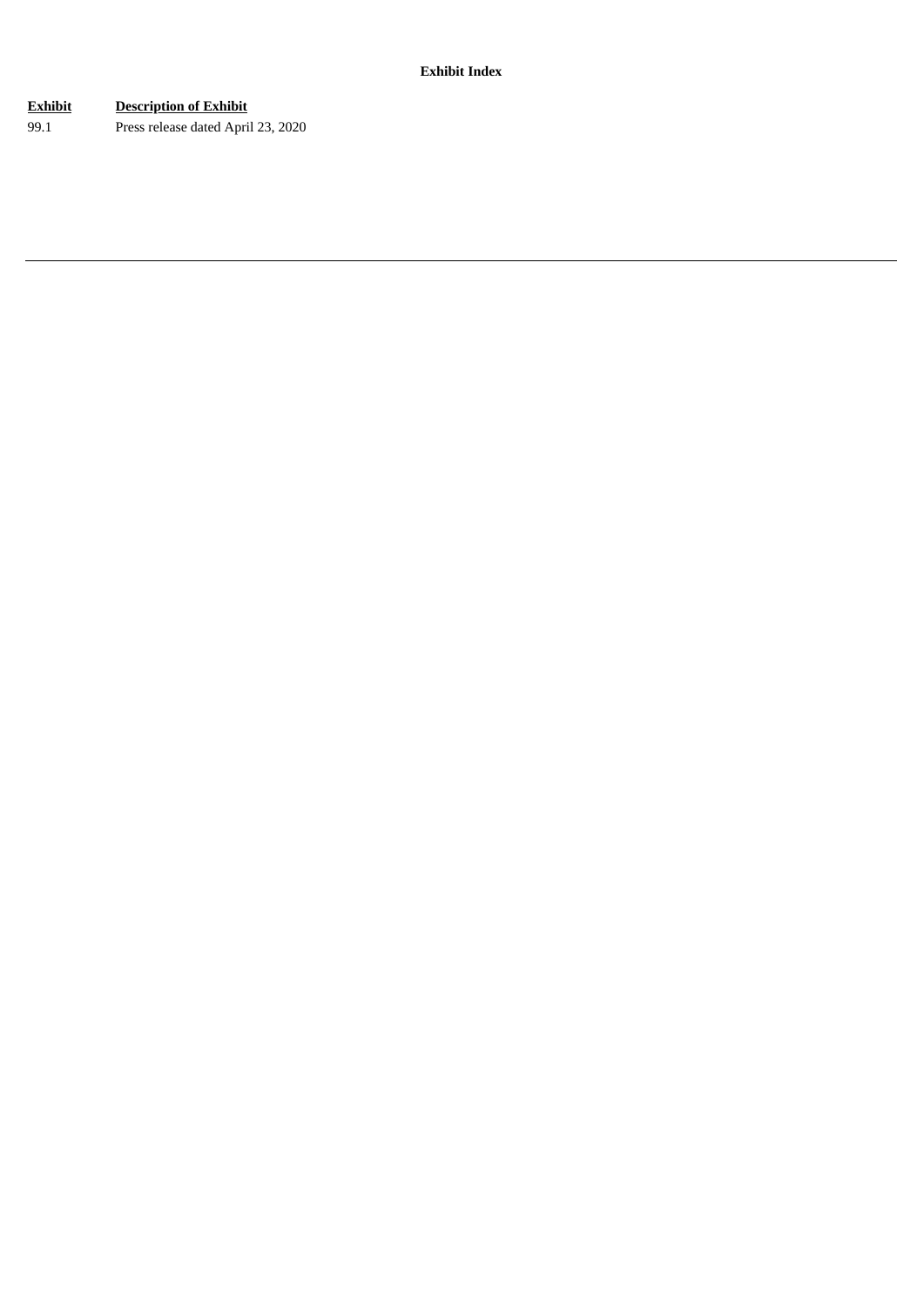# **Exhibit Description of Exhibit**

99.1 Press release dated April 23, 2020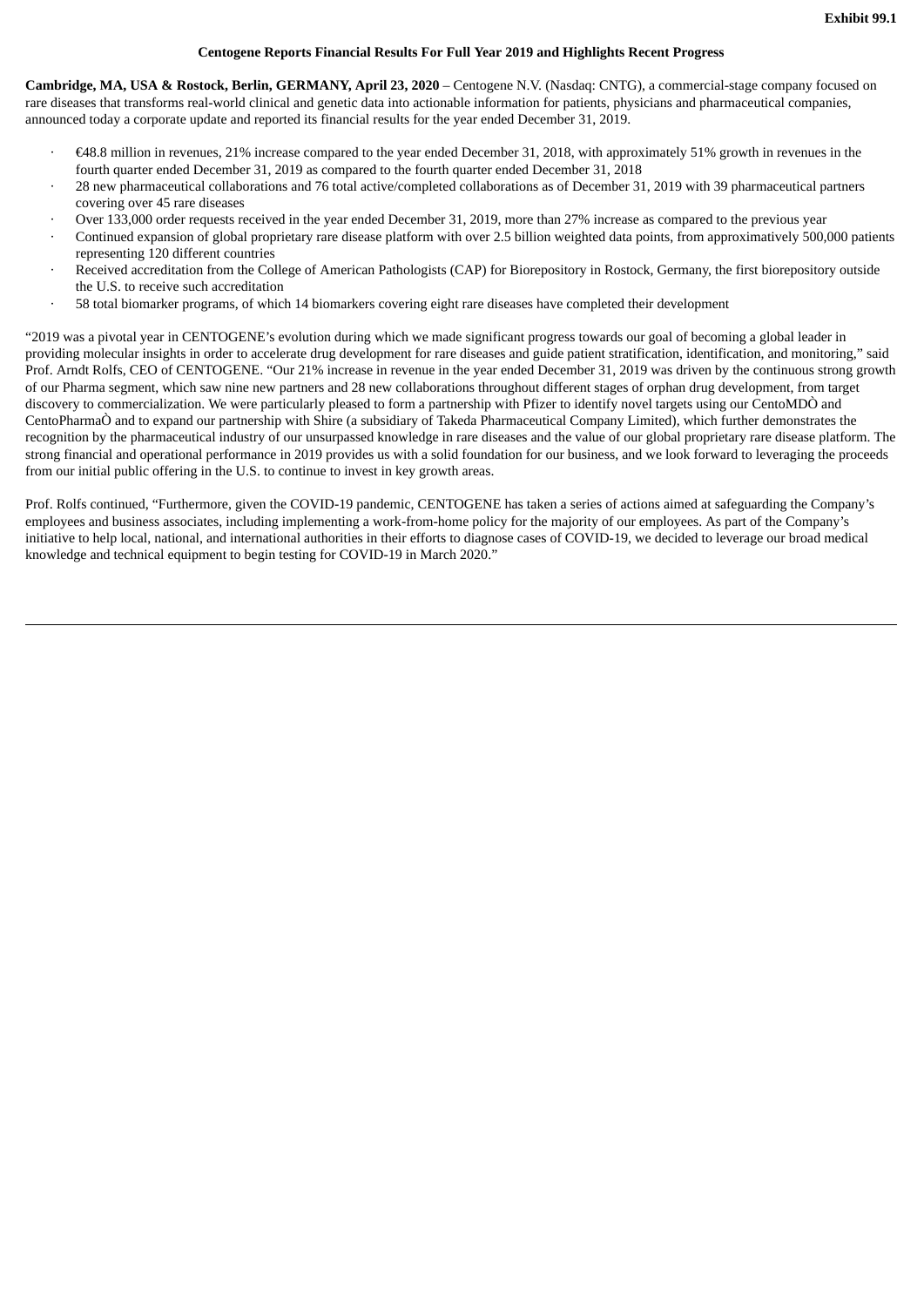## **Centogene Reports Financial Results For Full Year 2019 and Highlights Recent Progress**

**Cambridge, MA, USA & Rostock, Berlin, GERMANY, April 23, 2020** – Centogene N.V. (Nasdaq: CNTG), a commercial-stage company focused on rare diseases that transforms real-world clinical and genetic data into actionable information for patients, physicians and pharmaceutical companies, announced today a corporate update and reported its financial results for the year ended December 31, 2019.

- · €48.8 million in revenues, 21% increase compared to the year ended December 31, 2018, with approximately 51% growth in revenues in the fourth quarter ended December 31, 2019 as compared to the fourth quarter ended December 31, 2018
- · 28 new pharmaceutical collaborations and 76 total active/completed collaborations as of December 31, 2019 with 39 pharmaceutical partners covering over 45 rare diseases
- Over 133,000 order requests received in the year ended December 31, 2019, more than 27% increase as compared to the previous year
- · Continued expansion of global proprietary rare disease platform with over 2.5 billion weighted data points, from approximatively 500,000 patients representing 120 different countries
- · Received accreditation from the College of American Pathologists (CAP) for Biorepository in Rostock, Germany, the first biorepository outside the U.S. to receive such accreditation
- · 58 total biomarker programs, of which 14 biomarkers covering eight rare diseases have completed their development

"2019 was a pivotal year in CENTOGENE's evolution during which we made significant progress towards our goal of becoming a global leader in providing molecular insights in order to accelerate drug development for rare diseases and guide patient stratification, identification, and monitoring," said Prof. Arndt Rolfs, CEO of CENTOGENE. "Our 21% increase in revenue in the year ended December 31, 2019 was driven by the continuous strong growth of our Pharma segment, which saw nine new partners and 28 new collaborations throughout different stages of orphan drug development, from target discovery to commercialization. We were particularly pleased to form a partnership with Pfizer to identify novel targets using our CentoMDÒ and CentoPharmaÒ and to expand our partnership with Shire (a subsidiary of Takeda Pharmaceutical Company Limited), which further demonstrates the recognition by the pharmaceutical industry of our unsurpassed knowledge in rare diseases and the value of our global proprietary rare disease platform. The strong financial and operational performance in 2019 provides us with a solid foundation for our business, and we look forward to leveraging the proceeds from our initial public offering in the U.S. to continue to invest in key growth areas.

Prof. Rolfs continued, "Furthermore, given the COVID-19 pandemic, CENTOGENE has taken a series of actions aimed at safeguarding the Company's employees and business associates, including implementing a work-from-home policy for the majority of our employees. As part of the Company's initiative to help local, national, and international authorities in their efforts to diagnose cases of COVID-19, we decided to leverage our broad medical knowledge and technical equipment to begin testing for COVID-19 in March 2020."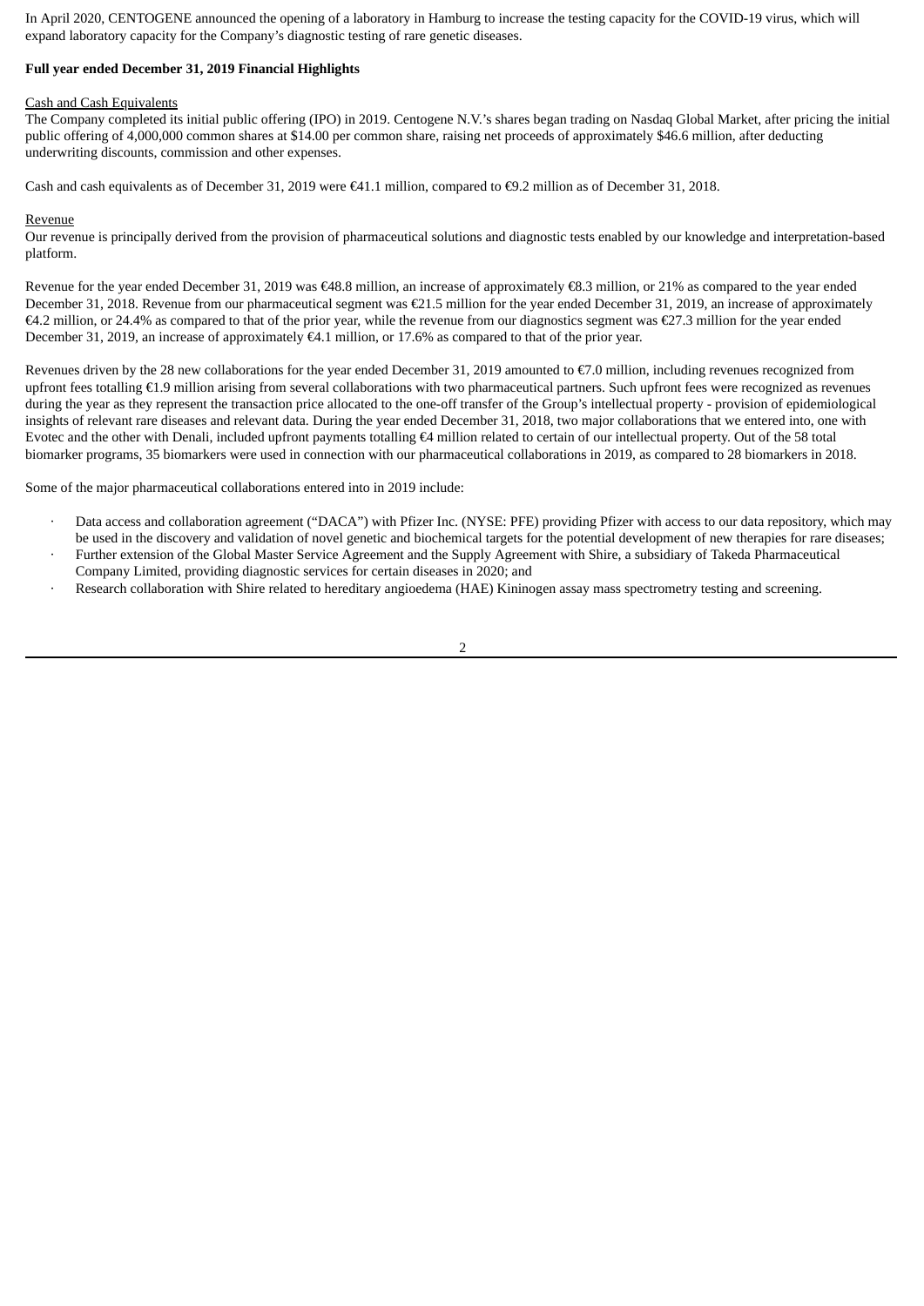In April 2020, CENTOGENE announced the opening of a laboratory in Hamburg to increase the testing capacity for the COVID-19 virus, which will expand laboratory capacity for the Company's diagnostic testing of rare genetic diseases.

## **Full year ended December 31, 2019 Financial Highlights**

#### Cash and Cash Equivalents

The Company completed its initial public offering (IPO) in 2019. Centogene N.V.'s shares began trading on Nasdaq Global Market, after pricing the initial public offering of 4,000,000 common shares at \$14.00 per common share, raising net proceeds of approximately \$46.6 million, after deducting underwriting discounts, commission and other expenses.

Cash and cash equivalents as of December 31, 2019 were €41.1 million, compared to €9.2 million as of December 31, 2018.

#### Revenue

Our revenue is principally derived from the provision of pharmaceutical solutions and diagnostic tests enabled by our knowledge and interpretation-based platform.

Revenue for the year ended December 31, 2019 was €48.8 million, an increase of approximately €8.3 million, or 21% as compared to the year ended December 31, 2018. Revenue from our pharmaceutical segment was €21.5 million for the year ended December 31, 2019, an increase of approximately €4.2 million, or 24.4% as compared to that of the prior year, while the revenue from our diagnostics segment was €27.3 million for the year ended December 31, 2019, an increase of approximately €4.1 million, or 17.6% as compared to that of the prior year.

Revenues driven by the 28 new collaborations for the year ended December 31, 2019 amounted to  $\epsilon$ 7.0 million, including revenues recognized from upfront fees totalling €1.9 million arising from several collaborations with two pharmaceutical partners. Such upfront fees were recognized as revenues during the year as they represent the transaction price allocated to the one-off transfer of the Group's intellectual property - provision of epidemiological insights of relevant rare diseases and relevant data. During the year ended December 31, 2018, two major collaborations that we entered into, one with Evotec and the other with Denali, included upfront payments totalling €4 million related to certain of our intellectual property. Out of the 58 total biomarker programs, 35 biomarkers were used in connection with our pharmaceutical collaborations in 2019, as compared to 28 biomarkers in 2018.

Some of the major pharmaceutical collaborations entered into in 2019 include:

- · Data access and collaboration agreement ("DACA") with Pfizer Inc. (NYSE: PFE) providing Pfizer with access to our data repository, which may be used in the discovery and validation of novel genetic and biochemical targets for the potential development of new therapies for rare diseases;
- · Further extension of the Global Master Service Agreement and the Supply Agreement with Shire, a subsidiary of Takeda Pharmaceutical Company Limited, providing diagnostic services for certain diseases in 2020; and

2

Research collaboration with Shire related to hereditary angioedema (HAE) Kininogen assay mass spectrometry testing and screening.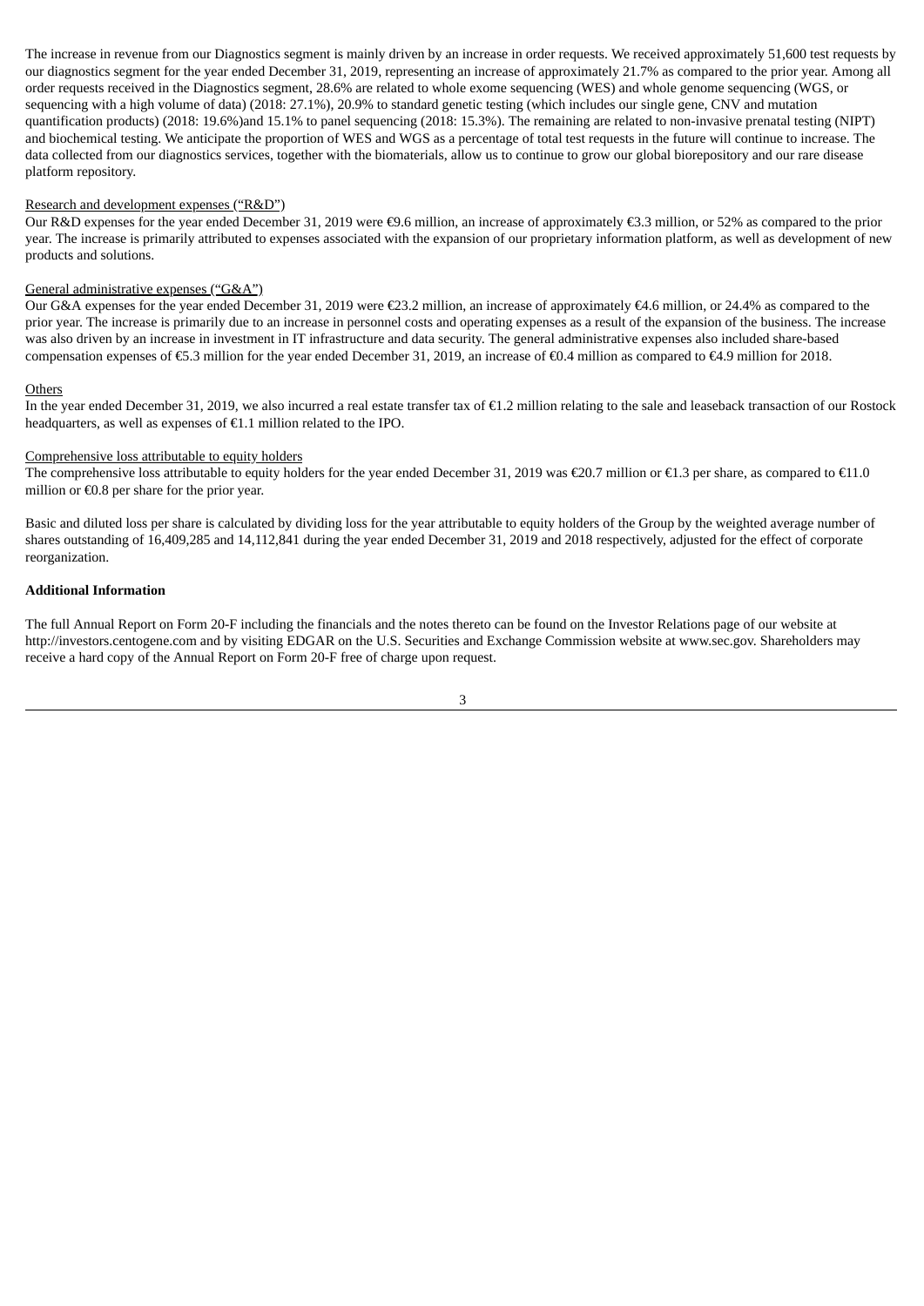The increase in revenue from our Diagnostics segment is mainly driven by an increase in order requests. We received approximately 51,600 test requests by our diagnostics segment for the year ended December 31, 2019, representing an increase of approximately 21.7% as compared to the prior year. Among all order requests received in the Diagnostics segment, 28.6% are related to whole exome sequencing (WES) and whole genome sequencing (WGS, or sequencing with a high volume of data) (2018: 27.1%), 20.9% to standard genetic testing (which includes our single gene, CNV and mutation quantification products) (2018: 19.6%)and 15.1% to panel sequencing (2018: 15.3%). The remaining are related to non-invasive prenatal testing (NIPT) and biochemical testing. We anticipate the proportion of WES and WGS as a percentage of total test requests in the future will continue to increase. The data collected from our diagnostics services, together with the biomaterials, allow us to continue to grow our global biorepository and our rare disease platform repository.

#### Research and development expenses ("R&D")

Our R&D expenses for the year ended December 31, 2019 were €9.6 million, an increase of approximately €3.3 million, or 52% as compared to the prior year. The increase is primarily attributed to expenses associated with the expansion of our proprietary information platform, as well as development of new products and solutions.

#### General administrative expenses ("G&A")

Our G&A expenses for the year ended December 31, 2019 were €23.2 million, an increase of approximately €4.6 million, or 24.4% as compared to the prior year. The increase is primarily due to an increase in personnel costs and operating expenses as a result of the expansion of the business. The increase was also driven by an increase in investment in IT infrastructure and data security. The general administrative expenses also included share-based compensation expenses of €5.3 million for the year ended December 31, 2019, an increase of €0.4 million as compared to €4.9 million for 2018.

#### **Others**

In the year ended December 31, 2019, we also incurred a real estate transfer tax of €1.2 million relating to the sale and leaseback transaction of our Rostock headquarters, as well as expenses of €1.1 million related to the IPO.

#### Comprehensive loss attributable to equity holders

The comprehensive loss attributable to equity holders for the year ended December 31, 2019 was €20.7 million or €1.3 per share, as compared to €11.0 million or €0.8 per share for the prior year.

Basic and diluted loss per share is calculated by dividing loss for the year attributable to equity holders of the Group by the weighted average number of shares outstanding of 16,409,285 and 14,112,841 during the year ended December 31, 2019 and 2018 respectively, adjusted for the effect of corporate reorganization.

#### **Additional Information**

The full Annual Report on Form 20-F including the financials and the notes thereto can be found on the Investor Relations page of our website at http://investors.centogene.com and by visiting EDGAR on the U.S. Securities and Exchange Commission website at www.sec.gov. Shareholders may receive a hard copy of the Annual Report on Form 20-F free of charge upon request.

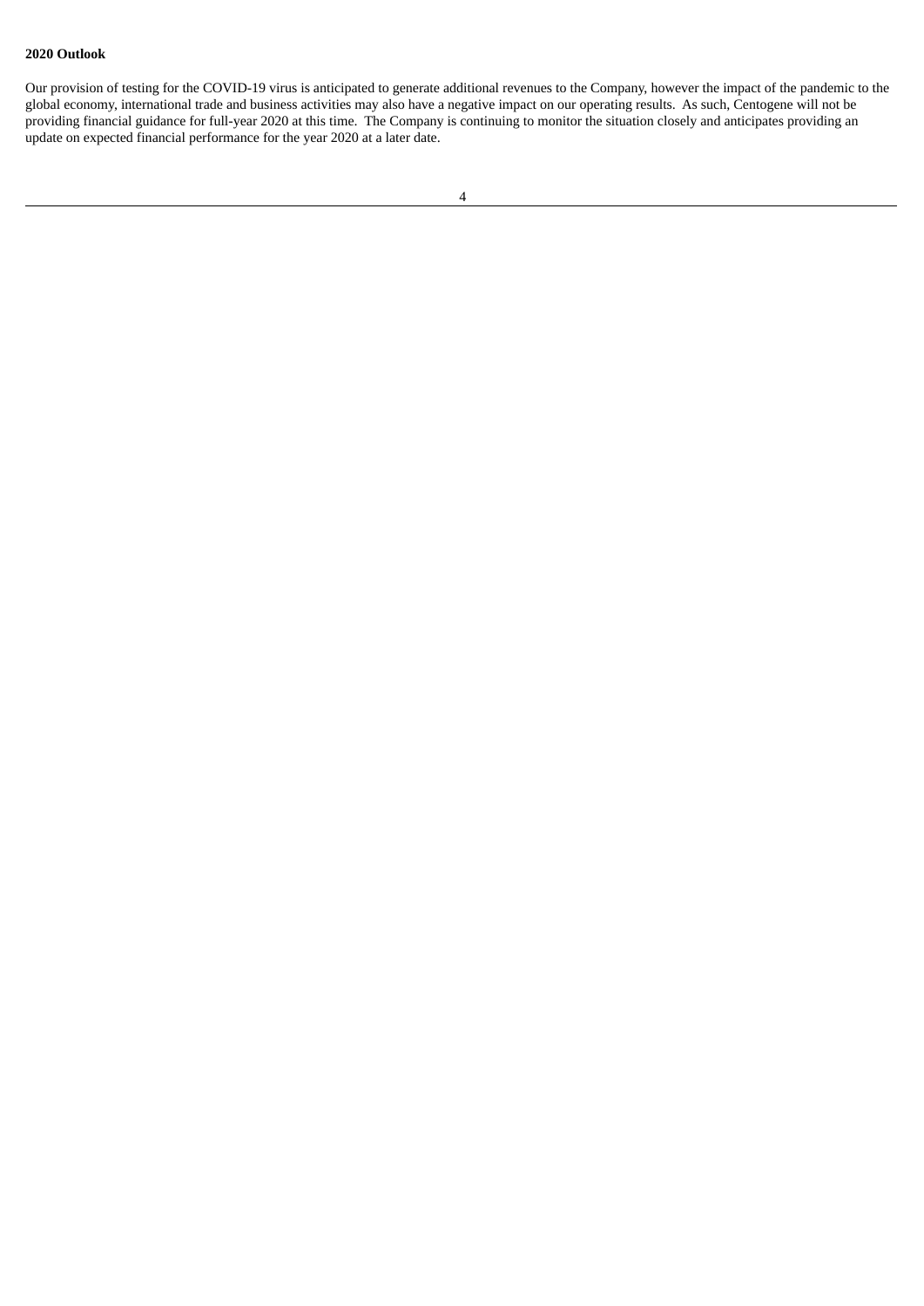## **2020 Outlook**

Our provision of testing for the COVID-19 virus is anticipated to generate additional revenues to the Company, however the impact of the pandemic to the global economy, international trade and business activities may also have a negative impact on our operating results. As such, Centogene will not be providing financial guidance for full-year 2020 at this time. The Company is continuing to monitor the situation closely and anticipates providing an update on expected financial performance for the year 2020 at a later date.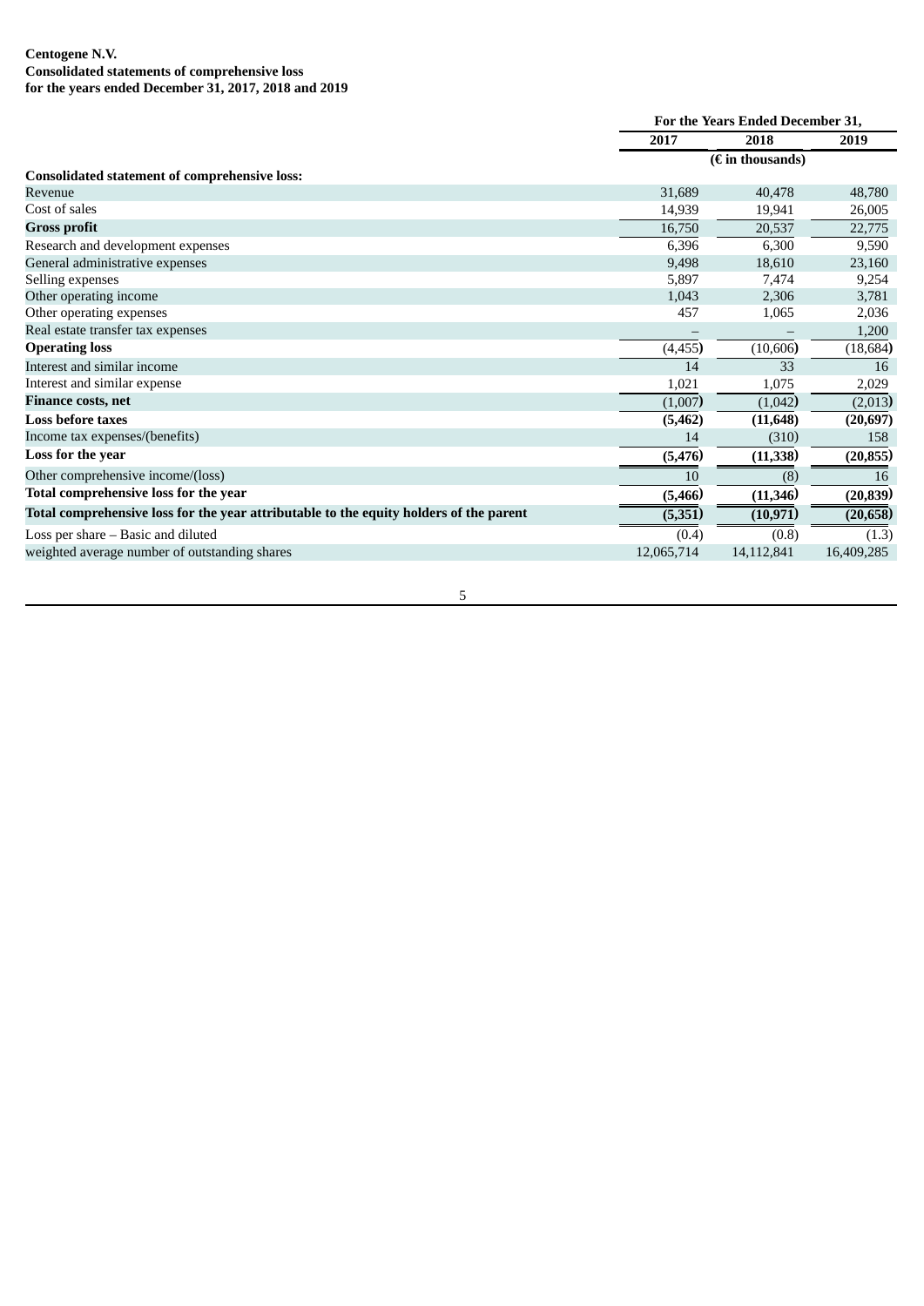## **Centogene N.V. Consolidated statements of comprehensive loss for the years ended December 31, 2017, 2018 and 2019**

|                                                                                        |            | For the Years Ended December 31, |            |  |
|----------------------------------------------------------------------------------------|------------|----------------------------------|------------|--|
|                                                                                        | 2017       | 2018                             | 2019       |  |
|                                                                                        |            | $(E$ in thousands)               |            |  |
| <b>Consolidated statement of comprehensive loss:</b>                                   |            |                                  |            |  |
| Revenue                                                                                | 31,689     | 40,478                           | 48,780     |  |
| Cost of sales                                                                          | 14,939     | 19,941                           | 26,005     |  |
| <b>Gross profit</b>                                                                    | 16,750     | 20,537                           | 22,775     |  |
| Research and development expenses                                                      | 6,396      | 6,300                            | 9,590      |  |
| General administrative expenses                                                        | 9,498      | 18,610                           | 23,160     |  |
| Selling expenses                                                                       | 5,897      | 7,474                            | 9,254      |  |
| Other operating income                                                                 | 1,043      | 2,306                            | 3,781      |  |
| Other operating expenses                                                               | 457        | 1,065                            | 2,036      |  |
| Real estate transfer tax expenses                                                      |            |                                  | 1,200      |  |
| <b>Operating loss</b>                                                                  | (4, 455)   | (10,606)                         | (18, 684)  |  |
| Interest and similar income                                                            | 14         | 33                               | 16         |  |
| Interest and similar expense                                                           | 1,021      | 1,075                            | 2,029      |  |
| <b>Finance costs, net</b>                                                              | (1,007)    | (1,042)                          | (2,013)    |  |
| <b>Loss before taxes</b>                                                               | (5, 462)   | (11, 648)                        | (20, 697)  |  |
| Income tax expenses/(benefits)                                                         | 14         | (310)                            | 158        |  |
| Loss for the year                                                                      | (5, 476)   | (11, 338)                        | (20, 855)  |  |
| Other comprehensive income/(loss)                                                      | 10         | (8)                              | 16         |  |
| Total comprehensive loss for the year                                                  | (5,466)    | (11, 346)                        | (20, 839)  |  |
| Total comprehensive loss for the year attributable to the equity holders of the parent | (5,351)    | (10, 971)                        | (20,658)   |  |
| Loss per share - Basic and diluted                                                     | (0.4)      | (0.8)                            | (1.3)      |  |
| weighted average number of outstanding shares                                          | 12,065,714 | 14,112,841                       | 16,409,285 |  |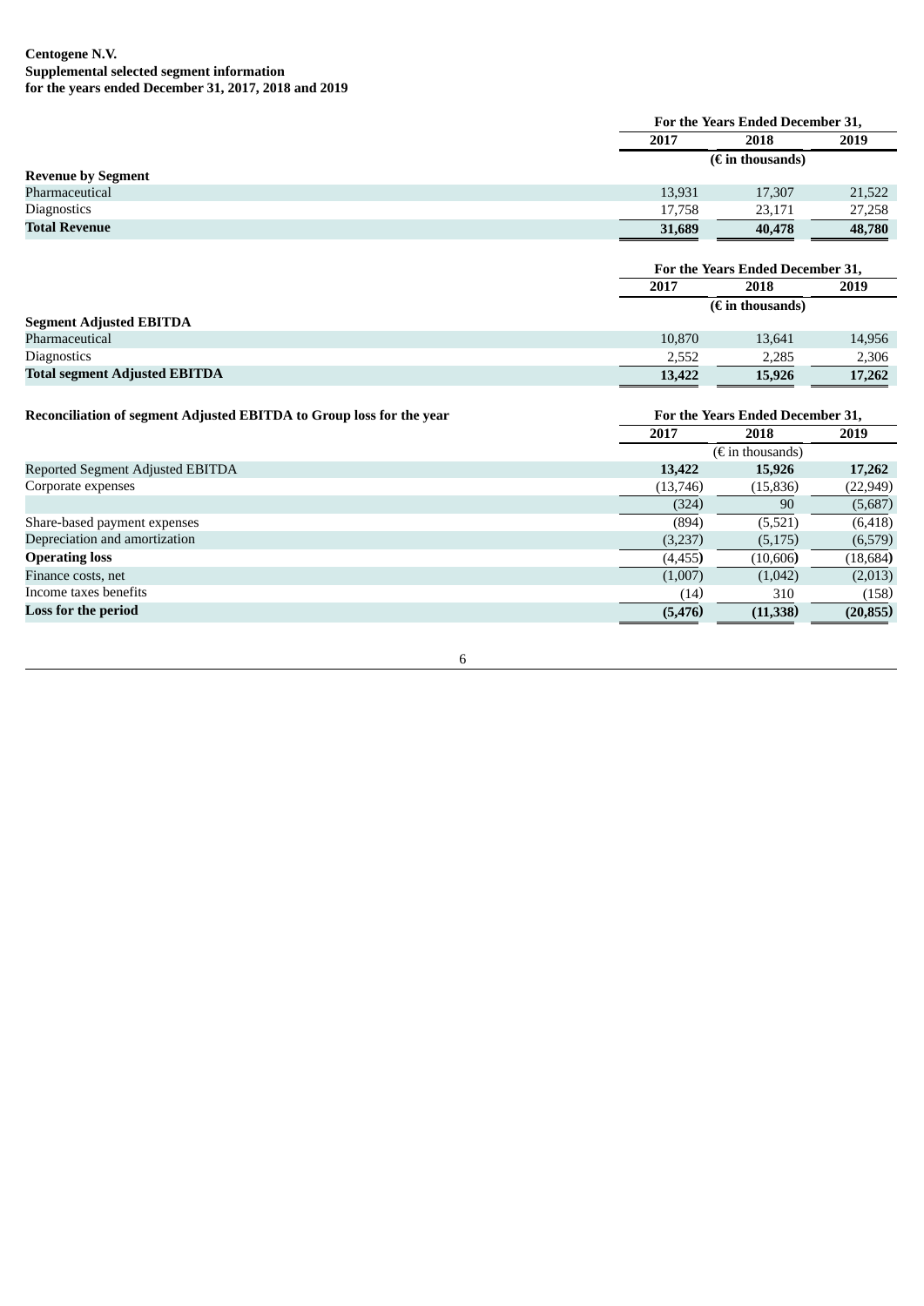|                                                                      | For the Years Ended December 31, |                                  |           |
|----------------------------------------------------------------------|----------------------------------|----------------------------------|-----------|
|                                                                      | 2017                             | 2018                             | 2019      |
|                                                                      | $(E \text{ in thousands})$       |                                  |           |
| <b>Revenue by Segment</b>                                            |                                  |                                  |           |
| Pharmaceutical                                                       | 13,931                           | 17,307                           | 21,522    |
| Diagnostics                                                          | 17,758                           | 23,171                           | 27,258    |
| <b>Total Revenue</b>                                                 | 31,689                           | 40,478                           | 48,780    |
|                                                                      |                                  |                                  |           |
|                                                                      |                                  | For the Years Ended December 31, |           |
|                                                                      | 2017                             | 2018                             | 2019      |
|                                                                      | $(E$ in thousands)               |                                  |           |
| <b>Segment Adjusted EBITDA</b>                                       |                                  |                                  |           |
| Pharmaceutical                                                       | 10,870                           | 13,641                           | 14,956    |
| Diagnostics                                                          | 2,552                            | 2,285                            | 2,306     |
| <b>Total segment Adjusted EBITDA</b>                                 | 13,422                           | 15,926                           | 17,262    |
|                                                                      |                                  |                                  |           |
| Reconciliation of segment Adjusted EBITDA to Group loss for the year | For the Years Ended December 31, |                                  |           |
|                                                                      | 2017                             | 2018                             | 2019      |
|                                                                      | $(\epsilon$ in thousands)        |                                  |           |
| Reported Segment Adjusted EBITDA                                     | 13,422                           | 15,926                           | 17,262    |
| Corporate expenses                                                   | (13,746)                         | (15, 836)                        | (22, 949) |
|                                                                      | (324)                            | 90                               | (5,687)   |
| Share-based payment expenses                                         | (894)                            | (5,521)                          | (6, 418)  |
| Depreciation and amortization                                        | (3,237)                          | (5, 175)                         | (6,579)   |
| <b>Operating loss</b>                                                | (4, 455)                         | (10,606)                         | (18, 684) |
| Finance costs, net                                                   | (1,007)                          | (1,042)                          | (2,013)   |
| Income taxes benefits                                                | (14)                             | 310                              | (158)     |
| <b>Loss for the period</b>                                           | (5, 476)                         | (11, 338)                        | (20, 855) |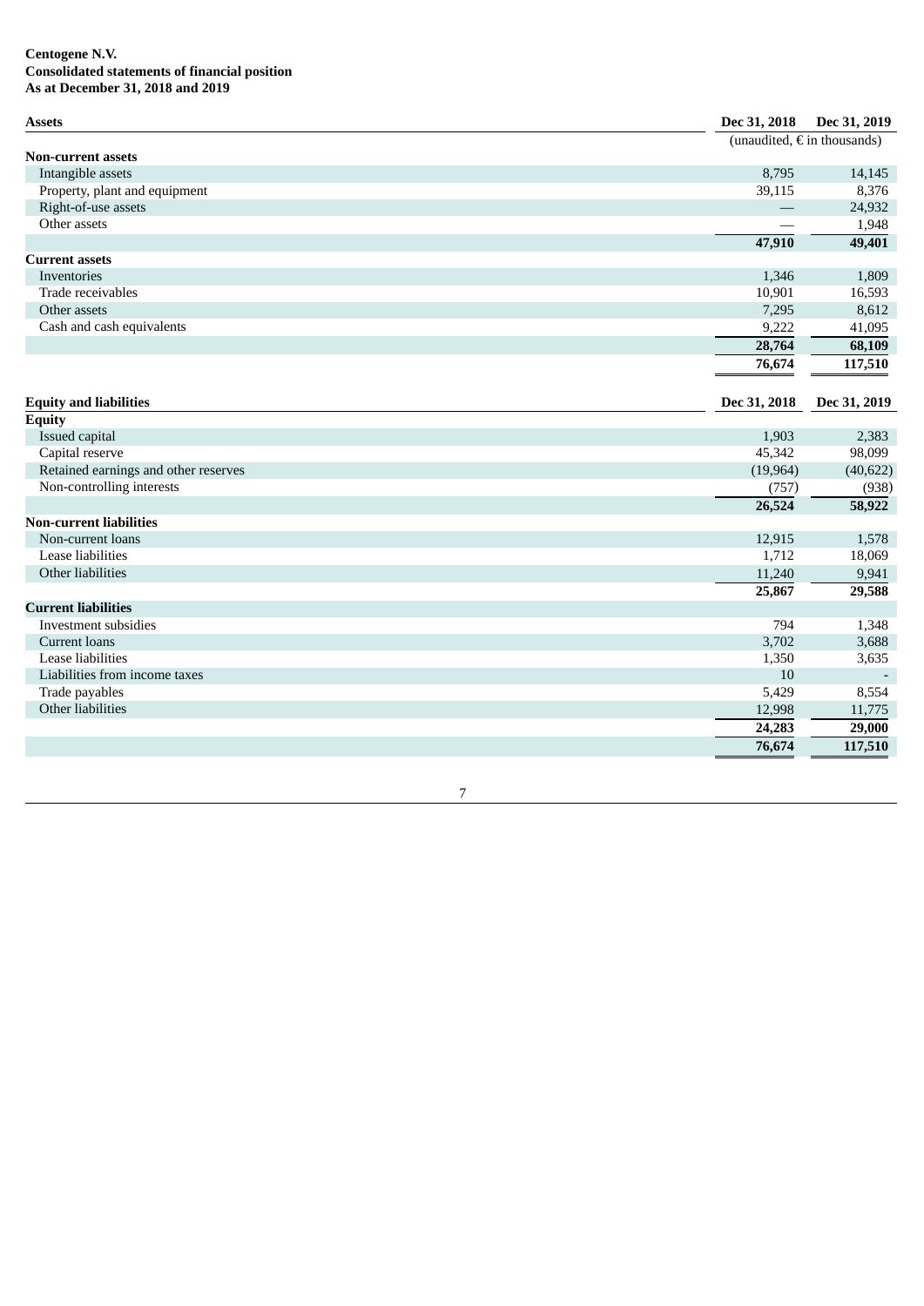## **C e n t o g e n e N .V. Consolidated statements of financial position** As at December 31, 2018 and 2019

| <b>Assets</b>                        | Dec 31, 2018 | Dec 31, 2019                         |
|--------------------------------------|--------------|--------------------------------------|
|                                      |              | (unaudited, $\epsilon$ in thousands) |
| <b>Non-current assets</b>            |              |                                      |
| Intangible assets                    | 8,795        | 14,145                               |
| Property, plant and equipment        | 39,115       | 8,376                                |
| Right-of-use assets                  |              | 24,932                               |
| Other assets                         |              | 1,948                                |
|                                      | 47,910       | 49,401                               |
| <b>Current assets</b>                |              |                                      |
| Inventories                          | 1,346        | 1,809                                |
| Trade receivables                    | 10,901       | 16,593                               |
| Other assets                         | 7,295        | 8,612                                |
| Cash and cash equivalents            | 9,222        | 41,095                               |
|                                      | 28,764       | 68,109                               |
|                                      | 76,674       | 117,510                              |
|                                      |              |                                      |
| <b>Equity and liabilities</b>        | Dec 31, 2018 | Dec 31, 2019                         |
| <b>Equity</b>                        |              |                                      |
| Issued capital                       | 1,903        | 2,383                                |
| Capital reserve                      | 45,342       | 98,099                               |
| Retained earnings and other reserves | (19, 964)    | (40, 622)                            |
| Non-controlling interests            | (757)        | (938)                                |
|                                      | 26,524       | 58,922                               |
| <b>Non-current liabilities</b>       |              |                                      |
| Non-current loans                    | 12,915       | 1,578                                |
| Lease liabilities                    | 1,712        | 18,069                               |
| Other liabilities                    | 11,240       | 9,941                                |
|                                      | 25,867       | 29,588                               |
| <b>Current liabilities</b>           |              |                                      |
| Investment subsidies                 | 794          | 1,348                                |
| Current loans                        | 3,702        | 3,688                                |
| Lease liabilities                    | 1,350        | 3,635                                |
| Liabilities from income taxes        | 10           |                                      |
| Trade payables                       | 5,429        | 8,554                                |
| Other liabilities                    | 12,998       | 11,775                               |
|                                      | 24,283       | 29,000                               |
|                                      | 76,674       | 117,510                              |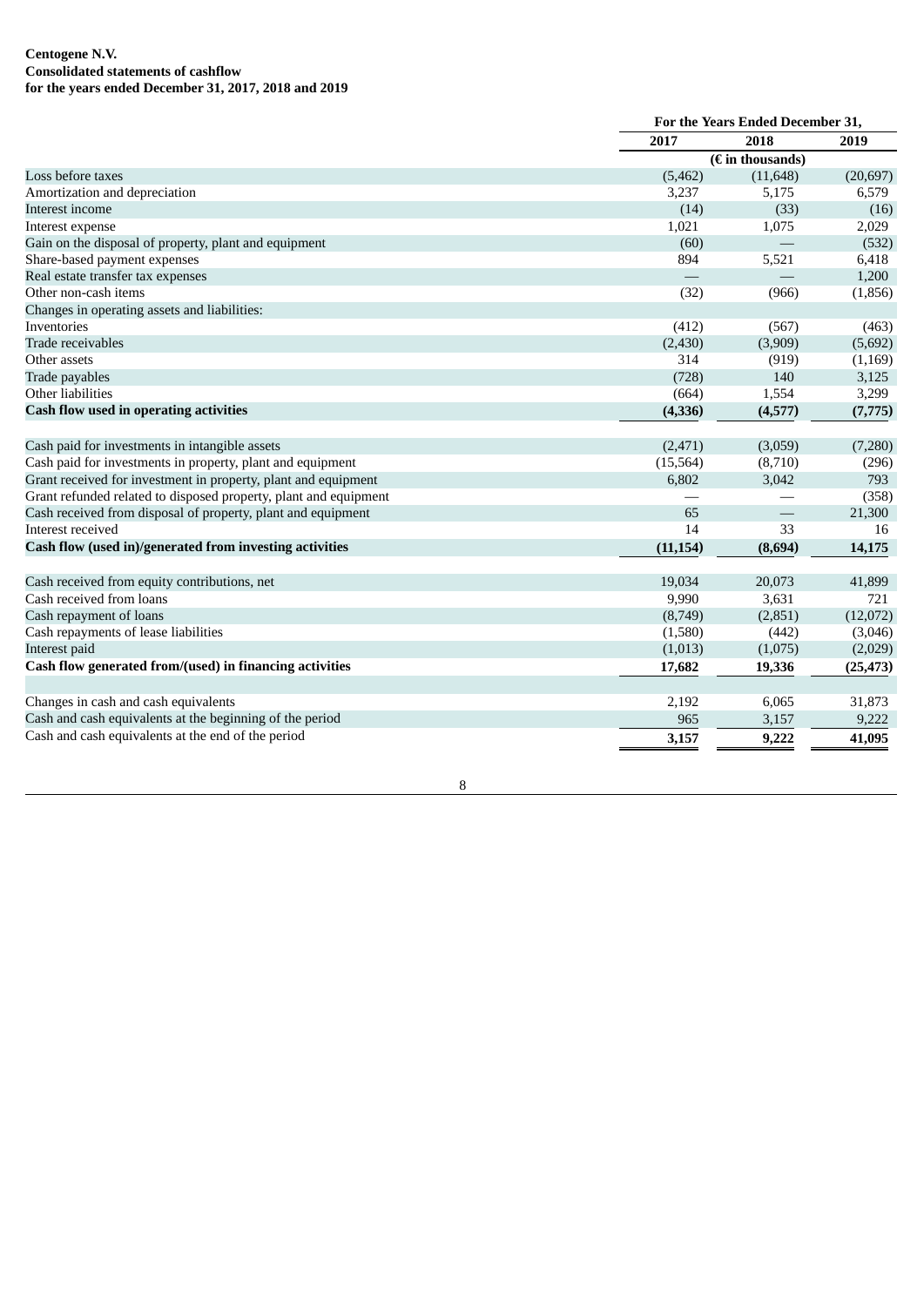## **Centogene N.V. Consolidated statements of cashflow for the years ended December 31, 2017, 2018 and 2019**

|                                                                  |           | For the Years Ended December 31,                 |               |  |
|------------------------------------------------------------------|-----------|--------------------------------------------------|---------------|--|
|                                                                  | 2017      | 2018                                             | 2019          |  |
|                                                                  |           | $\overline{(\textbf{\textit{f}})}$ in thousands) |               |  |
| Loss before taxes                                                | (5,462)   | (11, 648)                                        | (20, 697)     |  |
| Amortization and depreciation                                    | 3,237     | 5,175                                            | 6,579         |  |
| Interest income                                                  | (14)      | (33)                                             | (16)          |  |
| Interest expense                                                 | 1,021     | 1,075                                            | 2,029         |  |
| Gain on the disposal of property, plant and equipment            | (60)      |                                                  | (532)         |  |
| Share-based payment expenses                                     | 894       | 5,521                                            | 6,418         |  |
| Real estate transfer tax expenses                                |           |                                                  | 1,200         |  |
| Other non-cash items                                             | (32)      | (966)                                            | (1,856)       |  |
| Changes in operating assets and liabilities:                     |           |                                                  |               |  |
| Inventories                                                      | (412)     | (567)                                            | (463)         |  |
| Trade receivables                                                | (2,430)   | (3,909)                                          | (5,692)       |  |
| Other assets                                                     | 314       | (919)                                            | (1, 169)      |  |
| Trade payables                                                   | (728)     | 140                                              | 3,125         |  |
| Other liabilities                                                | (664)     | 1,554                                            | 3,299         |  |
| <b>Cash flow used in operating activities</b>                    | (4,336)   | (4,577)                                          | (7, 775)      |  |
| Cash paid for investments in intangible assets                   | (2, 471)  | (3,059)                                          | (7,280)       |  |
| Cash paid for investments in property, plant and equipment       | (15, 564) | (8,710)                                          | (296)         |  |
| Grant received for investment in property, plant and equipment   | 6,802     | 3,042                                            | 793           |  |
| Grant refunded related to disposed property, plant and equipment |           |                                                  | (358)         |  |
| Cash received from disposal of property, plant and equipment     | 65        |                                                  | 21,300        |  |
| Interest received                                                | 14        | 33                                               | 16            |  |
| Cash flow (used in)/generated from investing activities          | (11, 154) | (8,694)                                          | 14,175        |  |
|                                                                  |           |                                                  |               |  |
| Cash received from equity contributions, net                     | 19,034    | 20,073                                           | 41,899<br>721 |  |
| Cash received from loans                                         | 9,990     | 3,631                                            |               |  |
| Cash repayment of loans                                          | (8,749)   | (2,851)                                          | (12,072)      |  |
| Cash repayments of lease liabilities                             | (1,580)   | (442)                                            | (3,046)       |  |
| Interest paid                                                    | (1,013)   | (1,075)                                          | (2,029)       |  |
| Cash flow generated from/(used) in financing activities          | 17,682    | 19,336                                           | (25, 473)     |  |
| Changes in cash and cash equivalents                             | 2,192     | 6,065                                            | 31,873        |  |
| Cash and cash equivalents at the beginning of the period         | 965       | 3,157                                            | 9,222         |  |
| Cash and cash equivalents at the end of the period               | 3,157     | 9,222                                            | 41,095        |  |
|                                                                  |           |                                                  |               |  |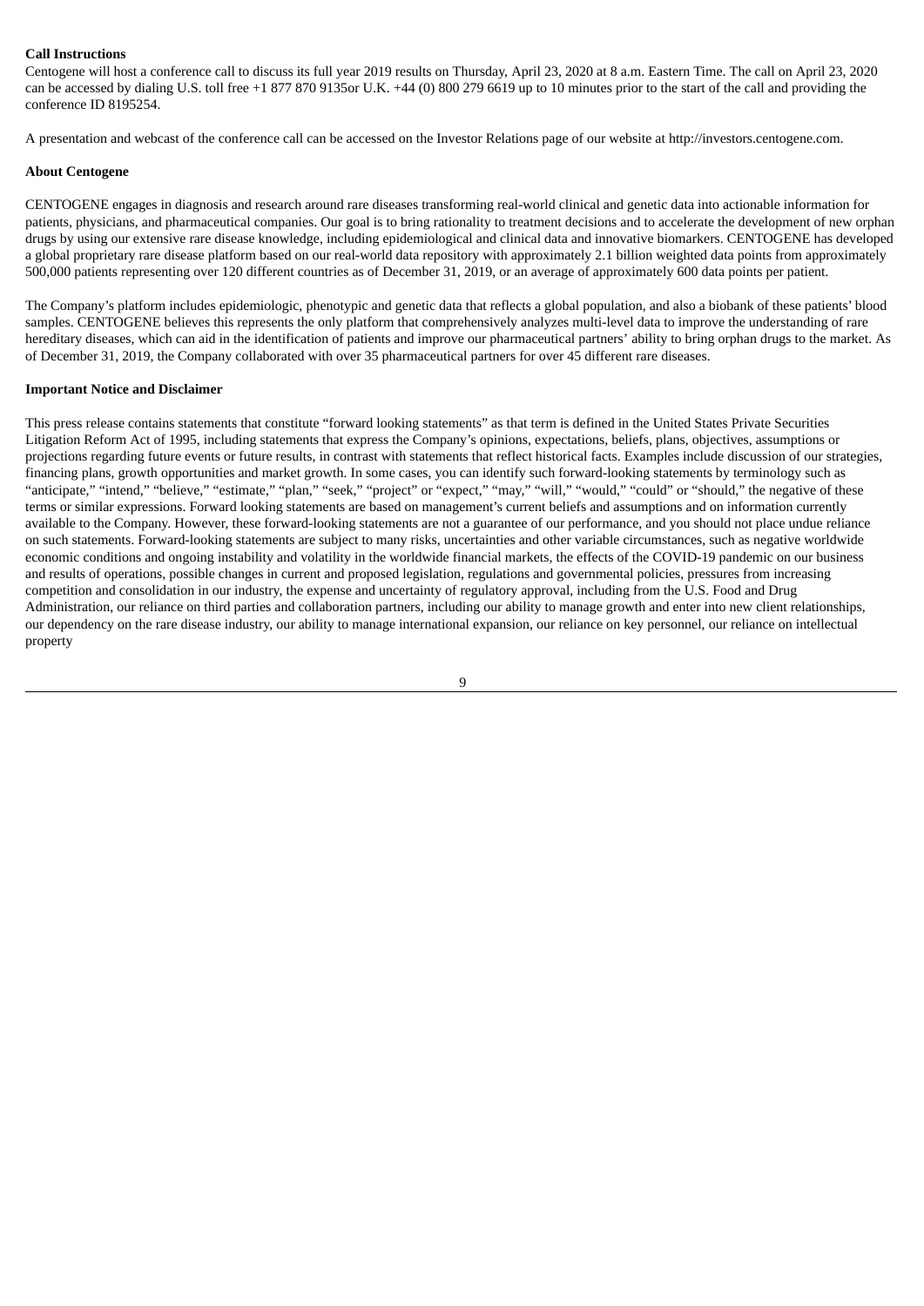## **Call Instructions**

Centogene will host a conference call to discuss its full year 2019 results on Thursday, April 23, 2020 at 8 a.m. Eastern Time. The call on April 23, 2020 can be accessed by dialing U.S. toll free +1 877 870 9135or U.K. +44 (0) 800 279 6619 up to 10 minutes prior to the start of the call and providing the conference ID 8195254.

A presentation and webcast of the conference call can be accessed on the Investor Relations page of our website at http://investors.centogene.com.

#### **About Centogene**

CENTOGENE engages in diagnosis and research around rare diseases transforming real-world clinical and genetic data into actionable information for patients, physicians, and pharmaceutical companies. Our goal is to bring rationality to treatment decisions and to accelerate the development of new orphan drugs by using our extensive rare disease knowledge, including epidemiological and clinical data and innovative biomarkers. CENTOGENE has developed a global proprietary rare disease platform based on our real-world data repository with approximately 2.1 billion weighted data points from approximately 500,000 patients representing over 120 different countries as of December 31, 2019, or an average of approximately 600 data points per patient.

The Company's platform includes epidemiologic, phenotypic and genetic data that reflects a global population, and also a biobank of these patients' blood samples. CENTOGENE believes this represents the only platform that comprehensively analyzes multi-level data to improve the understanding of rare hereditary diseases, which can aid in the identification of patients and improve our pharmaceutical partners' ability to bring orphan drugs to the market. As of December 31, 2019, the Company collaborated with over 35 pharmaceutical partners for over 45 different rare diseases.

#### **Important Notice and Disclaimer**

This press release contains statements that constitute "forward looking statements" as that term is defined in the United States Private Securities Litigation Reform Act of 1995, including statements that express the Company's opinions, expectations, beliefs, plans, objectives, assumptions or projections regarding future events or future results, in contrast with statements that reflect historical facts. Examples include discussion of our strategies, financing plans, growth opportunities and market growth. In some cases, you can identify such forward-looking statements by terminology such as "anticipate," "intend," "believe," "estimate," "plan," "seek," "project" or "expect," "may," "will," "would," "could" or "should," the negative of these terms or similar expressions. Forward looking statements are based on management's current beliefs and assumptions and on information currently available to the Company. However, these forward-looking statements are not a guarantee of our performance, and you should not place undue reliance on such statements. Forward-looking statements are subject to many risks, uncertainties and other variable circumstances, such as negative worldwide economic conditions and ongoing instability and volatility in the worldwide financial markets, the effects of the COVID-19 pandemic on our business and results of operations, possible changes in current and proposed legislation, regulations and governmental policies, pressures from increasing competition and consolidation in our industry, the expense and uncertainty of regulatory approval, including from the U.S. Food and Drug Administration, our reliance on third parties and collaboration partners, including our ability to manage growth and enter into new client relationships, our dependency on the rare disease industry, our ability to manage international expansion, our reliance on key personnel, our reliance on intellectual property